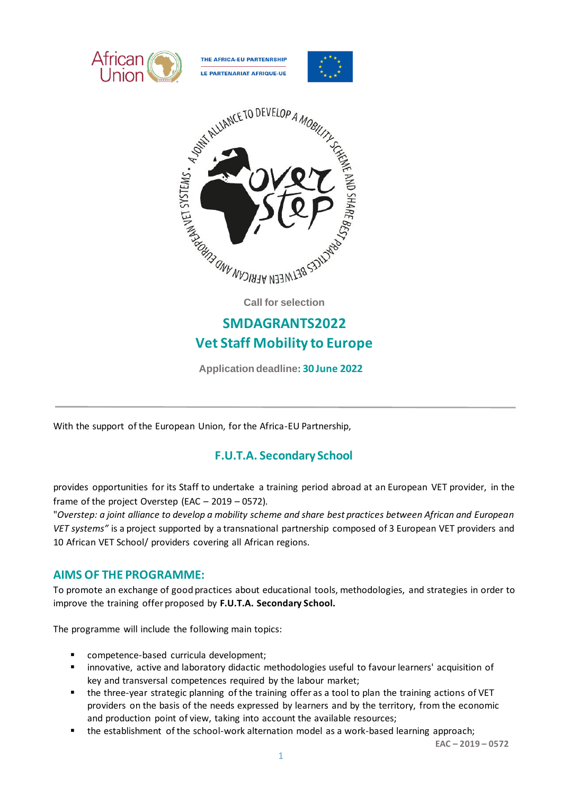





**Call for selection**

# **SMDAGRANTS2022 Vet Staff Mobility to Europe**

**Application deadline: 30 June 2022**

With the support of the European Union, for the Africa-EU Partnership,

# **F.U.T.A. Secondary School**

provides opportunities for its Staff to undertake a training period abroad at an European VET provider, in the frame of the project Overstep (EAC – 2019 – 0572).

"*Overstep: a joint alliance to develop a mobility scheme and share best practices between African and European VET systems"* is a project supported by a transnational partnership composed of 3 European VET providers and 10 African VET School/ providers covering all African regions.

# **AIMS OF THE PROGRAMME:**

To promote an exchange of good practices about educational tools, methodologies, and strategies in order to improve the training offer proposed by **F.U.T.A. Secondary School.**

The programme will include the following main topics:

- competence-based curricula development;
- innovative, active and laboratory didactic methodologies useful to favour learners' acquisition of key and transversal competences required by the labour market;
- the three-year strategic planning of the training offer as a tool to plan the training actions of VET providers on the basis of the needs expressed by learners and by the territory, from the economic and production point of view, taking into account the available resources;
- the establishment of the school-work alternation model as a work-based learning approach;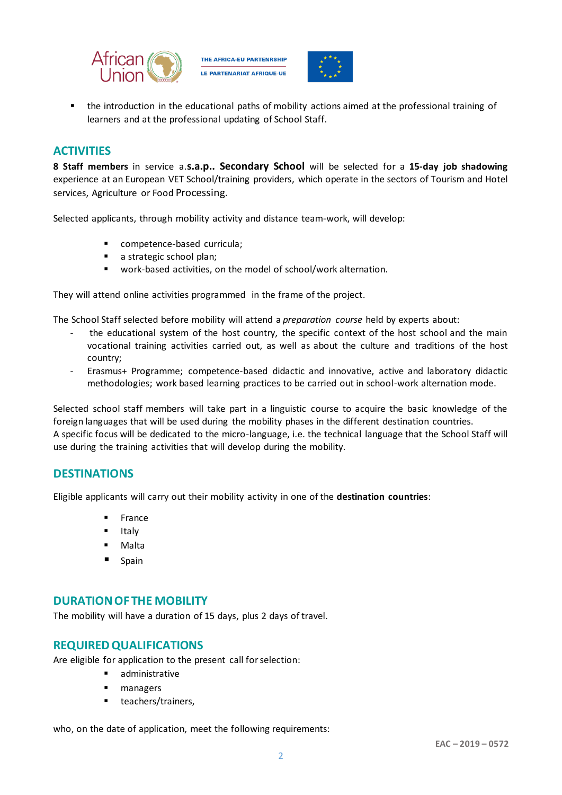

THE AFRICA-EU PARTENRSHIP **LE PARTENARIAT AFRIQUE-UE** 



the introduction in the educational paths of mobility actions aimed at the professional training of learners and at the professional updating of School Staff.

## **ACTIVITIES**

**8 Staff members** in service a.**s.a.p.. Secondary School** will be selected for a **15-day job shadowing** experience at an European VET School/training providers, which operate in the sectors of Tourism and Hotel services, Agriculture or Food Processing.

Selected applicants, through mobility activity and distance team-work, will develop:

- competence-based curricula;
- a strategic school plan;
- work-based activities, on the model of school/work alternation.

They will attend online activities programmed in the frame of the project.

The School Staff selected before mobility will attend a *preparation course* held by experts about:

- the educational system of the host country, the specific context of the host school and the main vocational training activities carried out, as well as about the culture and traditions of the host country;
- Erasmus+ Programme; competence-based didactic and innovative, active and laboratory didactic methodologies; work based learning practices to be carried out in school-work alternation mode.

Selected school staff members will take part in a linguistic course to acquire the basic knowledge of the foreign languages that will be used during the mobility phases in the different destination countries. A specific focus will be dedicated to the micro-language, i.e. the technical language that the School Staff will use during the training activities that will develop during the mobility.

#### **DESTINATIONS**

Eligible applicants will carry out their mobility activity in one of the **destination countries**:

- **France**
- **Italy**
- **Malta**
- Spain

### **DURATION OF THE MOBILITY**

The mobility will have a duration of 15 days, plus 2 days of travel.

#### **REQUIRED QUALIFICATIONS**

Are eligible for application to the present call for selection:

- administrative
- managers
- teachers/trainers,

who, on the date of application, meet the following requirements: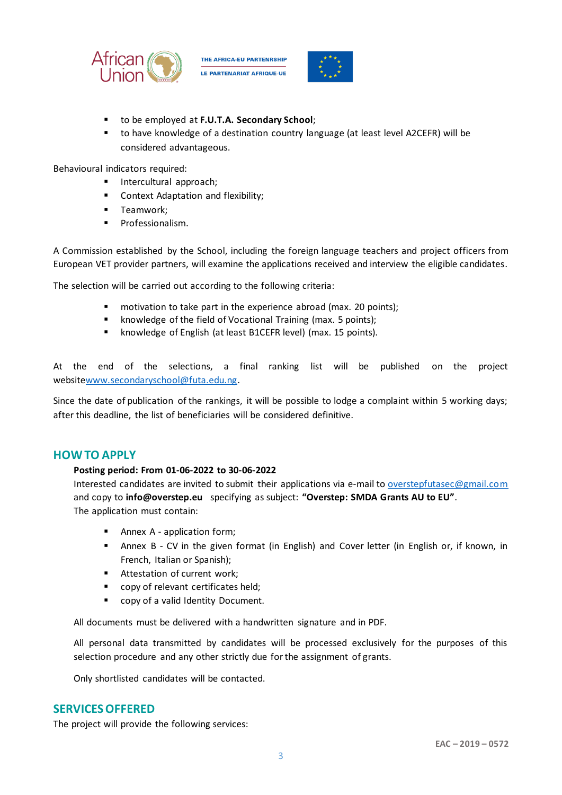

THE AFRICA-EU PARTENRSHIP **LE PARTENARIAT AFRIQUE-UE** 



- to be employed at **F.U.T.A. Secondary School**;
- to have knowledge of a destination country language (at least level A2CEFR) will be considered advantageous.

Behavioural indicators required:

- **■** Intercultural approach;
- Context Adaptation and flexibility;
- Teamwork:
- Professionalism.

A Commission established by the School, including the foreign language teachers and project officers from European VET provider partners, will examine the applications received and interview the eligible candidates.

The selection will be carried out according to the following criteria:

- motivation to take part in the experience abroad (max. 20 points);
- knowledge of the field of Vocational Training (max. 5 points);
- knowledge of English (at least B1CEFR level) (max. 15 points).

At the end of the selections, a final ranking list will be published on the project websit[ewww.secondaryschool@futa.edu.ng.](http://www.secondaryschool@futa.edu.ng)

Since the date of publication of the rankings, it will be possible to lodge a complaint within 5 working days; after this deadline, the list of beneficiaries will be considered definitive.

#### **HOW TO APPLY**

#### **Posting period: From 01-06-2022 to 30-06-2022**

Interested candidates are invited to submit their applications via e-mail t[o overstepfutasec@gmail.com](mailto:overstepfutasec@gmail.com) and copy to **info@overstep.eu** specifying as subject: **"Overstep: SMDA Grants AU to EU"**. The application must contain:

- Annex A application form;
- Annex B CV in the given format (in English) and Cover letter (in English or, if known, in French, Italian or Spanish);
- Attestation of current work;
- copy of relevant certificates held;
- copy of a valid Identity Document.

All documents must be delivered with a handwritten signature and in PDF.

All personal data transmitted by candidates will be processed exclusively for the purposes of this selection procedure and any other strictly due for the assignment of grants.

Only shortlisted candidates will be contacted.

#### **SERVICES OFFERED**

The project will provide the following services: